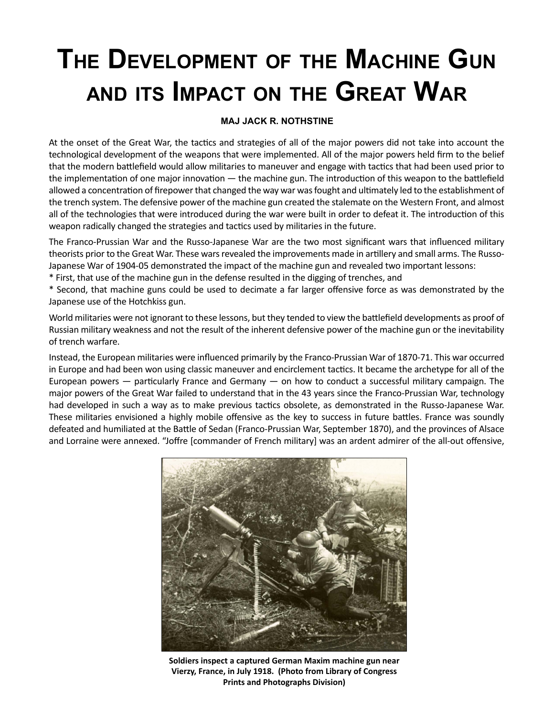## **The DevelopmenT of The machine Gun anD iTs impacT on The GreaT War**

## **MAJ JACK R. NOTHSTINE**

 the trench system. The defensive power of the machine gun created the stalemate on the Western Front, and almost At the onset of the Great War, the tactics and strategies of all of the major powers did not take into account the technological development of the weapons that were implemented. All of the major powers held firm to the belief that the modern battlefield would allow militaries to maneuver and engage with tactics that had been used prior to the implementation of one major innovation — the machine gun. The introduction of this weapon to the battlefield allowed a concentration of firepower that changed the way war was fought and ultimately led to the establishment of all of the technologies that were introduced during the war were built in order to defeat it. The introduction of this weapon radically changed the strategies and tactics used by militaries in the future.

The Franco-Prussian War and the Russo-Japanese War are the two most significant wars that influenced military theorists prior to the Great War. These wars revealed the improvements made in artillery and small arms. The Russo-Japanese War of 1904-05 demonstrated the impact of the machine gun and revealed two important lessons:

\* First, that use of the machine gun in the defense resulted in the digging of trenches, and

\* Second, that machine guns could be used to decimate a far larger offensive force as was demonstrated by the Japanese use of the Hotchkiss gun.

 World militaries were not ignorant to these lessons, but they tended to view the battlefield developments as proof of Russian military weakness and not the result of the inherent defensive power of the machine gun or the inevitability of trench warfare.

 major powers of the Great War failed to understand that in the 43 years since the Franco-Prussian War, technology defeated and humiliated at the Battle of Sedan (Franco-Prussian War, September 1870), and the provinces of Alsace Instead, the European militaries were influenced primarily by the Franco-Prussian War of 1870-71. This war occurred in Europe and had been won using classic maneuver and encirclement tactics. It became the archetype for all of the European powers — particularly France and Germany — on how to conduct a successful military campaign. The had developed in such a way as to make previous tactics obsolete, as demonstrated in the Russo-Japanese War. These militaries envisioned a highly mobile offensive as the key to success in future battles. France was soundly and Lorraine were annexed. "Joffre [commander of French military] was an ardent admirer of the all-out offensive,



**Soldiers inspect a captured German Maxim machine gun near Vierzy, France, in July 1918. (Photo from Library of Congress Prints and Photographs Division)**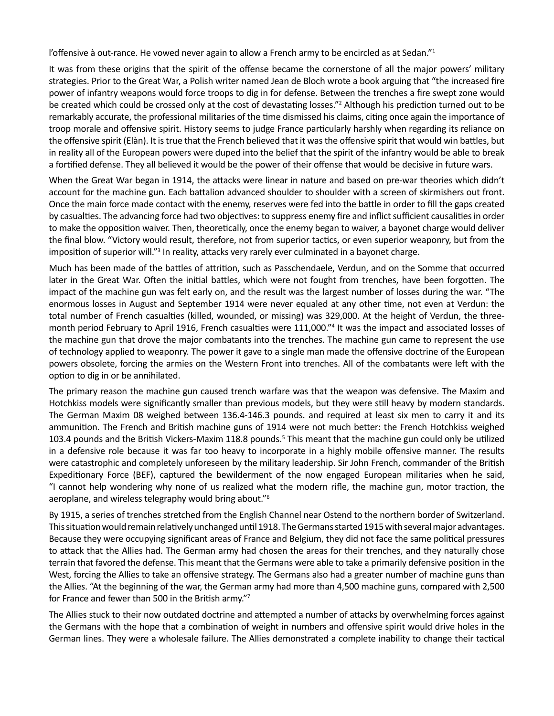l'offensive à out-rance. He vowed never again to allow a French army to be encircled as at Sedan."<sup>1</sup>

 It was from these origins that the spirit of the offense became the cornerstone of all the major powers' military power of infantry weapons would force troops to dig in for defense. Between the trenches a fire swept zone would remarkably accurate, the professional militaries of the time dismissed his claims, citing once again the importance of the offensive spirit (Elàn). It is true that the French believed that it was the offensive spirit that would win battles, but in reality all of the European powers were duped into the belief that the spirit of the infantry would be able to break strategies. Prior to the Great War, a Polish writer named Jean de Bloch wrote a book arguing that "the increased fire be created which could be crossed only at the cost of devastating losses."<sup>2</sup> Although his prediction turned out to be troop morale and offensive spirit. History seems to judge France particularly harshly when regarding its reliance on a fortified defense. They all believed it would be the power of their offense that would be decisive in future wars.

 When the Great War began in 1914, the attacks were linear in nature and based on pre-war theories which didn't Once the main force made contact with the enemy, reserves were fed into the battle in order to fill the gaps created to make the opposition waiver. Then, theoretically, once the enemy began to waiver, a bayonet charge would deliver the final blow. "Victory would result, therefore, not from superior tactics, or even superior weaponry, but from the account for the machine gun. Each battalion advanced shoulder to shoulder with a screen of skirmishers out front. by casualties. The advancing force had two objectives: to suppress enemy fire and inflict sufficient causalities in order imposition of superior will."<sup>3</sup> In reality, attacks very rarely ever culminated in a bayonet charge.

 Much has been made of the battles of attrition, such as Passchendaele, Verdun, and on the Somme that occurred later in the Great War. Often the initial battles, which were not fought from trenches, have been forgotten. The impact of the machine gun was felt early on, and the result was the largest number of losses during the war. "The total number of French casualties (killed, wounded, or missing) was 329,000. At the height of Verdun, the three- month period February to April 1916, French casualties were 111,000."4 It was the impact and associated losses of enormous losses in August and September 1914 were never equaled at any other time, not even at Verdun: the the machine gun that drove the major combatants into the trenches. The machine gun came to represent the use of technology applied to weaponry. The power it gave to a single man made the offensive doctrine of the European powers obsolete, forcing the armies on the Western Front into trenches. All of the combatants were left with the option to dig in or be annihilated.

 The primary reason the machine gun caused trench warfare was that the weapon was defensive. The Maxim and ammunition. The French and British machine guns of 1914 were not much better: the French Hotchkiss weighed in a defensive role because it was far too heavy to incorporate in a highly mobile offensive manner. The results "I cannot help wondering why none of us realized what the modern rifle, the machine gun, motor traction, the aeroplane, and wireless telegraphy would bring about."6 Hotchkiss models were significantly smaller than previous models, but they were still heavy by modern standards. The German Maxim 08 weighed between 136.4-146.3 pounds. and required at least six men to carry it and its 103.4 pounds and the British Vickers-Maxim 118.8 pounds.<sup>5</sup> This meant that the machine gun could only be utilized were catastrophic and completely unforeseen by the military leadership. Sir John French, commander of the British Expeditionary Force (BEF), captured the bewilderment of the now engaged European militaries when he said,

 Because they were occupying significant areas of France and Belgium, they did not face the same political pressures West, forcing the Allies to take an offensive strategy. The Germans also had a greater number of machine guns than the Allies. "At the beginning of the war, the German army had more than 4,500 machine guns, compared with 2,500 By 1915, a series of trenches stretched from the English Channel near Ostend to the northern border of Switzerland. This situation would remain relatively unchanged until 1918. The Germans started 1915 with several major advantages. to attack that the Allies had. The German army had chosen the areas for their trenches, and they naturally chose terrain that favored the defense. This meant that the Germans were able to take a primarily defensive position in the for France and fewer than 500 in the British army."7

 the Germans with the hope that a combination of weight in numbers and offensive spirit would drive holes in the The Allies stuck to their now outdated doctrine and attempted a number of attacks by overwhelming forces against German lines. They were a wholesale failure. The Allies demonstrated a complete inability to change their tactical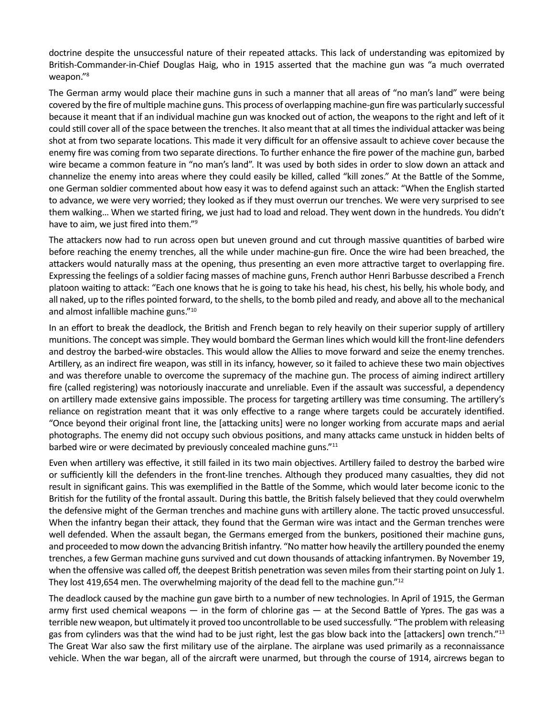doctrine despite the unsuccessful nature of their repeated attacks. This lack of understanding was epitomized by weapon."<sup>8</sup> British-Commander-in-Chief Douglas Haig, who in 1915 asserted that the machine gun was "a much overrated

 covered by the fire of multiple machine guns. This process of overlapping machine-gun fire was particularly successful shot at from two separate locations. This made it very difficult for an offensive assault to achieve cover because the enemy fire was coming from two separate directions. To further enhance the fire power of the machine gun, barbed wire became a common feature in "no man's land". It was used by both sides in order to slow down an attack and to advance, we were very worried; they looked as if they must overrun our trenches. We were very surprised to see The German army would place their machine guns in such a manner that all areas of "no man's land" were being because it meant that if an individual machine gun was knocked out of action, the weapons to the right and left of it could still cover all of the space between the trenches. It also meant that at all times the individual attacker was being channelize the enemy into areas where they could easily be killed, called "kill zones." At the Battle of the Somme, one German soldier commented about how easy it was to defend against such an attack: "When the English started them walking… When we started firing, we just had to load and reload. They went down in the hundreds. You didn't have to aim, we just fired into them."9

 before reaching the enemy trenches, all the while under machine-gun fire. Once the wire had been breached, the attackers would naturally mass at the opening, thus presenting an even more attractive target to overlapping fire. Expressing the feelings of a soldier facing masses of machine guns, French author Henri Barbusse described a French platoon waiting to attack: "Each one knows that he is going to take his head, his chest, his belly, his whole body, and all naked, up to the rifles pointed forward, to the shells, to the bomb piled and ready, and above all to the mechanical The attackers now had to run across open but uneven ground and cut through massive quantities of barbed wire and almost infallible machine guns."10

 munitions. The concept was simple. They would bombard the German lines which would kill the front-line defenders Artillery, as an indirect fire weapon, was still in its infancy, however, so it failed to achieve these two main objectives and was therefore unable to overcome the supremacy of the machine gun. The process of aiming indirect artillery on artillery made extensive gains impossible. The process for targeting artillery was time consuming. The artillery's "Once beyond their original front line, the [attacking units] were no longer working from accurate maps and aerial In an effort to break the deadlock, the British and French began to rely heavily on their superior supply of artillery and destroy the barbed-wire obstacles. This would allow the Allies to move forward and seize the enemy trenches. fire (called registering) was notoriously inaccurate and unreliable. Even if the assault was successful, a dependency reliance on registration meant that it was only effective to a range where targets could be accurately identified. photographs. The enemy did not occupy such obvious positions, and many attacks came unstuck in hidden belts of barbed wire or were decimated by previously concealed machine guns."<sup>11</sup>

 result in significant gains. This was exemplified in the Battle of the Somme, which would later become iconic to the well defended. When the assault began, the Germans emerged from the bunkers, positioned their machine guns, when the offensive was called off, the deepest British penetration was seven miles from their starting point on July 1. Even when artillery was effective, it still failed in its two main objectives. Artillery failed to destroy the barbed wire or sufficiently kill the defenders in the front-line trenches. Although they produced many casualties, they did not British for the futility of the frontal assault. During this battle, the British falsely believed that they could overwhelm the defensive might of the German trenches and machine guns with artillery alone. The tactic proved unsuccessful. When the infantry began their attack, they found that the German wire was intact and the German trenches were and proceeded to mow down the advancing British infantry. "No matter how heavily the artillery pounded the enemy trenches, a few German machine guns survived and cut down thousands of attacking infantrymen. By November 19, They lost 419,654 men. The overwhelming majority of the dead fell to the machine gun."12

 The deadlock caused by the machine gun gave birth to a number of new technologies. In April of 1915, the German gas from cylinders was that the wind had to be just right, lest the gas blow back into the [attackers] own trench."<sup>13</sup> The Great War also saw the first military use of the airplane. The airplane was used primarily as a reconnaissance vehicle. When the war began, all of the aircraft were unarmed, but through the course of 1914, aircrews began to army first used chemical weapons — in the form of chlorine gas — at the Second Battle of Ypres. The gas was a terrible new weapon, but ultimately it proved too uncontrollable to be used successfully. "The problem with releasing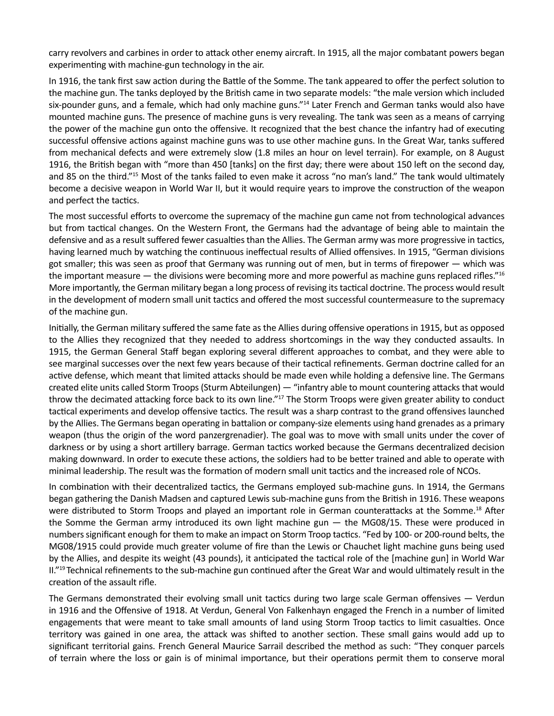carry revolvers and carbines in order to attack other enemy aircraft. In 1915, all the major combatant powers began experimenting with machine-gun technology in the air.

 the machine gun. The tanks deployed by the British came in two separate models: "the male version which included mounted machine guns. The presence of machine guns is very revealing. The tank was seen as a means of carrying successful offensive actions against machine guns was to use other machine guns. In the Great War, tanks suffered from mechanical defects and were extremely slow (1.8 miles an hour on level terrain). For example, on 8 August 1916, the British began with "more than 450 [tanks] on the first day; there were about 150 left on the second day, and 85 on the third."15 Most of the tanks failed to even make it across "no man's land." The tank would ultimately become a decisive weapon in World War II, but it would require years to improve the construction of the weapon In 1916, the tank first saw action during the Battle of the Somme. The tank appeared to offer the perfect solution to six-pounder guns, and a female, which had only machine guns."<sup>14</sup> Later French and German tanks would also have the power of the machine gun onto the offensive. It recognized that the best chance the infantry had of executing and perfect the tactics.

 defensive and as a result suffered fewer casualties than the Allies. The German army was more progressive in tactics, More importantly, the German military began a long process of revising its tactical doctrine. The process would result in the development of modern small unit tactics and offered the most successful countermeasure to the supremacy The most successful efforts to overcome the supremacy of the machine gun came not from technological advances but from tactical changes. On the Western Front, the Germans had the advantage of being able to maintain the having learned much by watching the continuous ineffectual results of Allied offensives. In 1915, "German divisions got smaller; this was seen as proof that Germany was running out of men, but in terms of firepower — which was the important measure — the divisions were becoming more and more powerful as machine guns replaced rifles."16 of the machine gun.

 Initially, the German military suffered the same fate as the Allies during offensive operations in 1915, but as opposed 1915, the German General Staff began exploring several different approaches to combat, and they were able to active defense, which meant that limited attacks should be made even while holding a defensive line. The Germans by the Allies. The Germans began operating in battalion or company-size elements using hand grenades as a primary making downward. In order to execute these actions, the soldiers had to be better trained and able to operate with to the Allies they recognized that they needed to address shortcomings in the way they conducted assaults. In see marginal successes over the next few years because of their tactical refinements. German doctrine called for an created elite units called Storm Troops (Sturm Abteilungen) — "infantry able to mount countering attacks that would throw the decimated attacking force back to its own line."17 The Storm Troops were given greater ability to conduct tactical experiments and develop offensive tactics. The result was a sharp contrast to the grand offensives launched weapon (thus the origin of the word panzergrenadier). The goal was to move with small units under the cover of darkness or by using a short artillery barrage. German tactics worked because the Germans decentralized decision minimal leadership. The result was the formation of modern small unit tactics and the increased role of NCOs.

 In combination with their decentralized tactics, the Germans employed sub-machine guns. In 1914, the Germans began gathering the Danish Madsen and captured Lewis sub-machine guns from the British in 1916. These weapons were distributed to Storm Troops and played an important role in German counterattacks at the Somme.<sup>18</sup> After numbers significant enough for them to make an impact on Storm Troop tactics. "Fed by 100- or 200-round belts, the MG08/1915 could provide much greater volume of fire than the Lewis or Chauchet light machine guns being used by the Allies, and despite its weight (43 pounds), it anticipated the tactical role of the [machine gun] in World War creation of the assault rifle. the Somme the German army introduced its own light machine gun — the MG08/15. These were produced in II."<sup>19</sup> Technical refinements to the sub-machine gun continued after the Great War and would ultimately result in the

The Germans demonstrated their evolving small unit tactics during two large scale German offensives  $-$  Verdun in 1916 and the Offensive of 1918. At Verdun, General Von Falkenhayn engaged the French in a number of limited engagements that were meant to take small amounts of land using Storm Troop tactics to limit casualties. Once territory was gained in one area, the attack was shifted to another section. These small gains would add up to significant territorial gains. French General Maurice Sarrail described the method as such: "They conquer parcels of terrain where the loss or gain is of minimal importance, but their operations permit them to conserve moral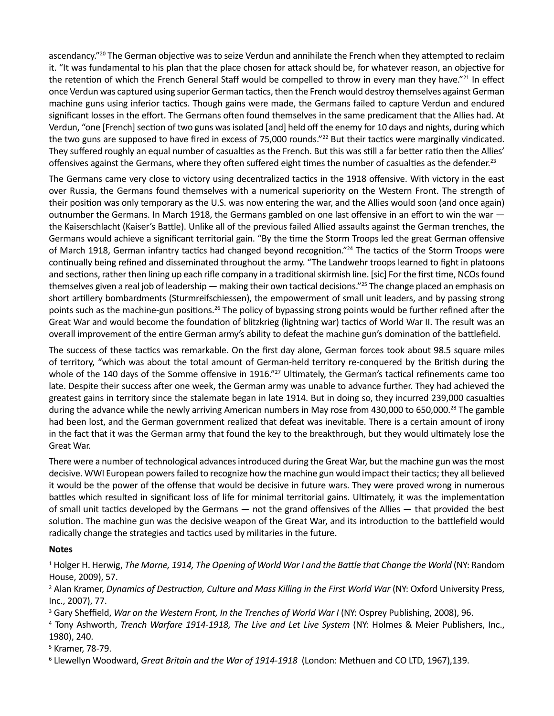ascendancy."<sup>20</sup> The German objective was to seize Verdun and annihilate the French when they attempted to reclaim the retention of which the French General Staff would be compelled to throw in every man they have."<sup>21</sup> In effect Verdun, "one [French] section of two guns was isolated [and] held off the enemy for 10 days and nights, during which They suffered roughly an equal number of casualties as the French. But this was still a far better ratio then the Allies' it. "It was fundamental to his plan that the place chosen for attack should be, for whatever reason, an objective for once Verdun was captured using superior German tactics, then the French would destroy themselves against German machine guns using inferior tactics. Though gains were made, the Germans failed to capture Verdun and endured significant losses in the effort. The Germans often found themselves in the same predicament that the Allies had. At the two guns are supposed to have fired in excess of 75,000 rounds."<sup>22</sup> But their tactics were marginally vindicated. offensives against the Germans, where they often suffered eight times the number of casualties as the defender.<sup>23</sup>

 The Germans came very close to victory using decentralized tactics in the 1918 offensive. With victory in the east over Russia, the Germans found themselves with a numerical superiority on the Western Front. The strength of their position was only temporary as the U.S. was now entering the war, and the Allies would soon (and once again) the Kaiserschlacht (Kaiser's Battle). Unlike all of the previous failed Allied assaults against the German trenches, the Germans would achieve a significant territorial gain. "By the time the Storm Troops led the great German offensive continually being refined and disseminated throughout the army. "The Landwehr troops learned to fight in platoons and sections, rather then lining up each rifle company in a traditional skirmish line. [sic] For the first time, NCOs found themselves given a real job of leadership — making their own tactical decisions."25 The change placed an emphasis on outnumber the Germans. In March 1918, the Germans gambled on one last offensive in an effort to win the war of March 1918, German infantry tactics had changed beyond recognition."24 The tactics of the Storm Troops were short artillery bombardments (Sturmreifschiessen), the empowerment of small unit leaders, and by passing strong points such as the machine-gun positions.26 The policy of bypassing strong points would be further refined after the Great War and would become the foundation of blitzkrieg (lightning war) tactics of World War II. The result was an

overall improvement of the entire German army's ability to defeat the machine gun's domination of the battlefield.<br>The success of these tactics was remarkable. On the first day alone, German forces took about 98.5 square m The success of these tactics was remarkable. On the first day alone, German forces took about 98.5 square miles whole of the 140 days of the Somme offensive in 1916."<sup>27</sup> Ultimately, the German's tactical refinements came too during the advance while the newly arriving American numbers in May rose from 430,000 to 650,000.<sup>28</sup> The gamble had been lost, and the German government realized that defeat was inevitable. There is a certain amount of irony in the fact that it was the German army that found the key to the breakthrough, but they would ultimately lose the of territory, "which was about the total amount of German-held territory re-conquered by the British during the late. Despite their success after one week, the German army was unable to advance further. They had achieved the greatest gains in territory since the stalemate began in late 1914. But in doing so, they incurred 239,000 casualties Great War.

 There were a number of technological advances introduced during the Great War, but the machine gun was the most of small unit tactics developed by the Germans — not the grand offensives of the Allies — that provided the best radically change the strategies and tactics used by militaries in the future. decisive. WWI European powers failed to recognize how the machine gun would impact their tactics; they all believed it would be the power of the offense that would be decisive in future wars. They were proved wrong in numerous battles which resulted in significant loss of life for minimal territorial gains. Ultimately, it was the implementation solution. The machine gun was the decisive weapon of the Great War, and its introduction to the battlefield would

## **Notes**

<sup>1</sup> Holger H. Herwig, *The Marne, 1914, The Opening of World War I and the Battle that Change the World (NY: Random* House, 2009), 57.

<sup>2</sup> Alan Kramer, *Dynamics of Destruction, Culture and Mass Killing in the First World War (NY: Oxford University Press,* Inc., 2007), 77.

<sup>3</sup> Gary Sheffield, *War on the Western Front, In the Trenches of World War I* (NY: Osprey Publishing, 2008), 96.

<sup>4</sup> Tony Ashworth, *Trench Warfare 1914-1918, The Live and Let Live System* (NY: Holmes & Meier Publishers, Inc., 1980), 240.

5 Kramer, 78-79.

6 Llewellyn Woodward, *Great Britain and the War of 1914-1918* (London: Methuen and CO LTD, 1967),139.